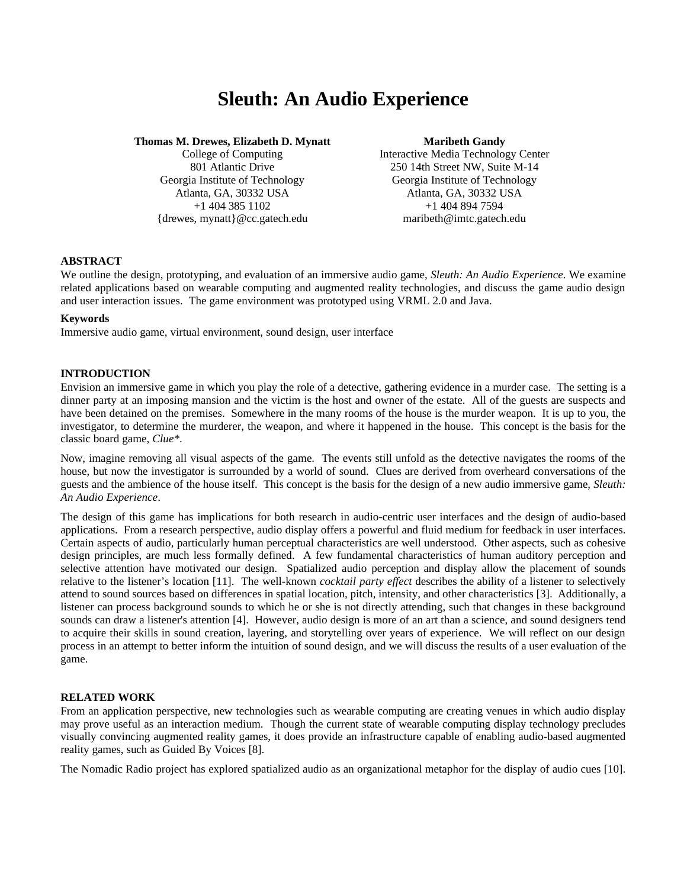# **Sleuth: An Audio Experience**

#### **Thomas M. Drewes, Elizabeth D. Mynatt Maribeth Gandy**

{drewes, mynatt}@cc.gatech.edu maribeth@imtc.gatech.edu

College of Computing Interactive Media Technology Center 801 Atlantic Drive 250 14th Street NW, Suite M-14 Georgia Institute of Technology Georgia Institute of Technology Atlanta, GA, 30332 USA Atlanta, GA, 30332 USA +1 404 385 1102 +1 404 894 7594

#### **ABSTRACT**

We outline the design, prototyping, and evaluation of an immersive audio game, *Sleuth: An Audio Experience*. We examine related applications based on wearable computing and augmented reality technologies, and discuss the game audio design and user interaction issues. The game environment was prototyped using VRML 2.0 and Java.

#### **Keywords**

Immersive audio game, virtual environment, sound design, user interface

### **INTRODUCTION**

Envision an immersive game in which you play the role of a detective, gathering evidence in a murder case. The setting is a dinner party at an imposing mansion and the victim is the host and owner of the estate. All of the guests are suspects and have been detained on the premises. Somewhere in the many rooms of the house is the murder weapon. It is up to you, the investigator, to determine the murderer, the weapon, and where it happened in the house. This concept is the basis for the classic board game, *Clue\**.

Now, imagine removing all visual aspects of the game. The events still unfold as the detective navigates the rooms of the house, but now the investigator is surrounded by a world of sound. Clues are derived from overheard conversations of the guests and the ambience of the house itself. This concept is the basis for the design of a new audio immersive game, *Sleuth: An Audio Experience*.

The design of this game has implications for both research in audio-centric user interfaces and the design of audio-based applications. From a research perspective, audio display offers a powerful and fluid medium for feedback in user interfaces. Certain aspects of audio, particularly human perceptual characteristics are well understood. Other aspects, such as cohesive design principles, are much less formally defined. A few fundamental characteristics of human auditory perception and selective attention have motivated our design. Spatialized audio perception and display allow the placement of sounds relative to the listener's location [11]. The well-known *cocktail party effect* describes the ability of a listener to selectively attend to sound sources based on differences in spatial location, pitch, intensity, and other characteristics [3]. Additionally, a listener can process background sounds to which he or she is not directly attending, such that changes in these background sounds can draw a listener's attention [4]. However, audio design is more of an art than a science, and sound designers tend to acquire their skills in sound creation, layering, and storytelling over years of experience. We will reflect on our design process in an attempt to better inform the intuition of sound design, and we will discuss the results of a user evaluation of the game.

#### **RELATED WORK**

From an application perspective, new technologies such as wearable computing are creating venues in which audio display may prove useful as an interaction medium. Though the current state of wearable computing display technology precludes visually convincing augmented reality games, it does provide an infrastructure capable of enabling audio-based augmented reality games, such as Guided By Voices [8].

The Nomadic Radio project has explored spatialized audio as an organizational metaphor for the display of audio cues [10].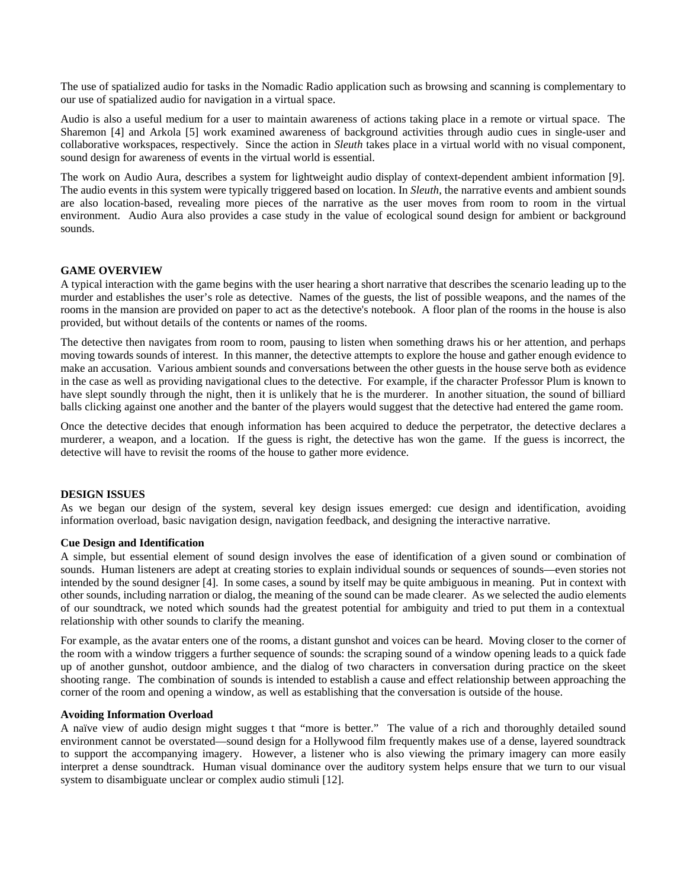The use of spatialized audio for tasks in the Nomadic Radio application such as browsing and scanning is complementary to our use of spatialized audio for navigation in a virtual space.

Audio is also a useful medium for a user to maintain awareness of actions taking place in a remote or virtual space. The Sharemon [4] and Arkola [5] work examined awareness of background activities through audio cues in single-user and collaborative workspaces, respectively. Since the action in *Sleuth* takes place in a virtual world with no visual component, sound design for awareness of events in the virtual world is essential.

The work on Audio Aura, describes a system for lightweight audio display of context-dependent ambient information [9]. The audio events in this system were typically triggered based on location. In *Sleuth*, the narrative events and ambient sounds are also location-based, revealing more pieces of the narrative as the user moves from room to room in the virtual environment. Audio Aura also provides a case study in the value of ecological sound design for ambient or background sounds.

#### **GAME OVERVIEW**

A typical interaction with the game begins with the user hearing a short narrative that describes the scenario leading up to the murder and establishes the user's role as detective. Names of the guests, the list of possible weapons, and the names of the rooms in the mansion are provided on paper to act as the detective's notebook. A floor plan of the rooms in the house is also provided, but without details of the contents or names of the rooms.

The detective then navigates from room to room, pausing to listen when something draws his or her attention, and perhaps moving towards sounds of interest. In this manner, the detective attempts to explore the house and gather enough evidence to make an accusation. Various ambient sounds and conversations between the other guests in the house serve both as evidence in the case as well as providing navigational clues to the detective. For example, if the character Professor Plum is known to have slept soundly through the night, then it is unlikely that he is the murderer. In another situation, the sound of billiard balls clicking against one another and the banter of the players would suggest that the detective had entered the game room.

Once the detective decides that enough information has been acquired to deduce the perpetrator, the detective declares a murderer, a weapon, and a location. If the guess is right, the detective has won the game. If the guess is incorrect, the detective will have to revisit the rooms of the house to gather more evidence.

#### **DESIGN ISSUES**

As we began our design of the system, several key design issues emerged: cue design and identification, avoiding information overload, basic navigation design, navigation feedback, and designing the interactive narrative.

#### **Cue Design and Identification**

A simple, but essential element of sound design involves the ease of identification of a given sound or combination of sounds. Human listeners are adept at creating stories to explain individual sounds or sequences of sounds—even stories not intended by the sound designer [4]. In some cases, a sound by itself may be quite ambiguous in meaning. Put in context with other sounds, including narration or dialog, the meaning of the sound can be made clearer. As we selected the audio elements of our soundtrack, we noted which sounds had the greatest potential for ambiguity and tried to put them in a contextual relationship with other sounds to clarify the meaning.

For example, as the avatar enters one of the rooms, a distant gunshot and voices can be heard. Moving closer to the corner of the room with a window triggers a further sequence of sounds: the scraping sound of a window opening leads to a quick fade up of another gunshot, outdoor ambience, and the dialog of two characters in conversation during practice on the skeet shooting range. The combination of sounds is intended to establish a cause and effect relationship between approaching the corner of the room and opening a window, as well as establishing that the conversation is outside of the house.

#### **Avoiding Information Overload**

A naïve view of audio design might sugges t that "more is better." The value of a rich and thoroughly detailed sound environment cannot be overstated—sound design for a Hollywood film frequently makes use of a dense, layered soundtrack to support the accompanying imagery. However, a listener who is also viewing the primary imagery can more easily interpret a dense soundtrack. Human visual dominance over the auditory system helps ensure that we turn to our visual system to disambiguate unclear or complex audio stimuli [12].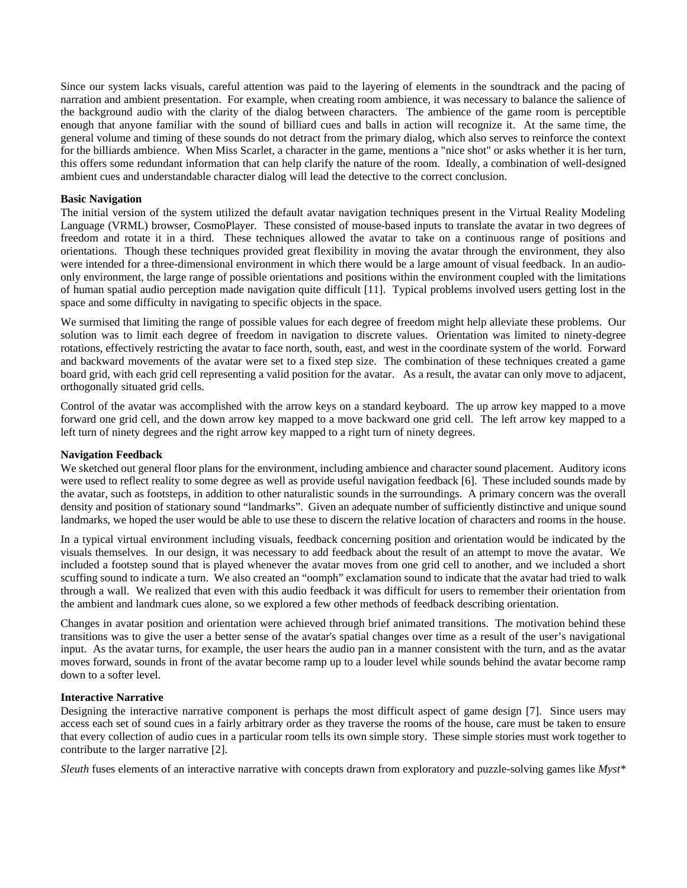Since our system lacks visuals, careful attention was paid to the layering of elements in the soundtrack and the pacing of narration and ambient presentation. For example, when creating room ambience, it was necessary to balance the salience of the background audio with the clarity of the dialog between characters. The ambience of the game room is perceptible enough that anyone familiar with the sound of billiard cues and balls in action will recognize it. At the same time, the general volume and timing of these sounds do not detract from the primary dialog, which also serves to reinforce the context for the billiards ambience. When Miss Scarlet, a character in the game, mentions a "nice shot" or asks whether it is her turn, this offers some redundant information that can help clarify the nature of the room. Ideally, a combination of well-designed ambient cues and understandable character dialog will lead the detective to the correct conclusion.

#### **Basic Navigation**

The initial version of the system utilized the default avatar navigation techniques present in the Virtual Reality Modeling Language (VRML) browser, CosmoPlayer. These consisted of mouse-based inputs to translate the avatar in two degrees of freedom and rotate it in a third. These techniques allowed the avatar to take on a continuous range of positions and orientations. Though these techniques provided great flexibility in moving the avatar through the environment, they also were intended for a three-dimensional environment in which there would be a large amount of visual feedback. In an audioonly environment, the large range of possible orientations and positions within the environment coupled with the limitations of human spatial audio perception made navigation quite difficult [11]. Typical problems involved users getting lost in the space and some difficulty in navigating to specific objects in the space.

We surmised that limiting the range of possible values for each degree of freedom might help alleviate these problems. Our solution was to limit each degree of freedom in navigation to discrete values. Orientation was limited to ninety-degree rotations, effectively restricting the avatar to face north, south, east, and west in the coordinate system of the world. Forward and backward movements of the avatar were set to a fixed step size. The combination of these techniques created a game board grid, with each grid cell representing a valid position for the avatar. As a result, the avatar can only move to adjacent, orthogonally situated grid cells.

Control of the avatar was accomplished with the arrow keys on a standard keyboard. The up arrow key mapped to a move forward one grid cell, and the down arrow key mapped to a move backward one grid cell. The left arrow key mapped to a left turn of ninety degrees and the right arrow key mapped to a right turn of ninety degrees.

#### **Navigation Feedback**

We sketched out general floor plans for the environment, including ambience and character sound placement. Auditory icons were used to reflect reality to some degree as well as provide useful navigation feedback [6]. These included sounds made by the avatar, such as footsteps, in addition to other naturalistic sounds in the surroundings. A primary concern was the overall density and position of stationary sound "landmarks". Given an adequate number of sufficiently distinctive and unique sound landmarks, we hoped the user would be able to use these to discern the relative location of characters and rooms in the house.

In a typical virtual environment including visuals, feedback concerning position and orientation would be indicated by the visuals themselves. In our design, it was necessary to add feedback about the result of an attempt to move the avatar. We included a footstep sound that is played whenever the avatar moves from one grid cell to another, and we included a short scuffing sound to indicate a turn. We also created an "oomph" exclamation sound to indicate that the avatar had tried to walk through a wall. We realized that even with this audio feedback it was difficult for users to remember their orientation from the ambient and landmark cues alone, so we explored a few other methods of feedback describing orientation.

Changes in avatar position and orientation were achieved through brief animated transitions. The motivation behind these transitions was to give the user a better sense of the avatar's spatial changes over time as a result of the user's navigational input. As the avatar turns, for example, the user hears the audio pan in a manner consistent with the turn, and as the avatar moves forward, sounds in front of the avatar become ramp up to a louder level while sounds behind the avatar become ramp down to a softer level.

#### **Interactive Narrative**

Designing the interactive narrative component is perhaps the most difficult aspect of game design [7]. Since users may access each set of sound cues in a fairly arbitrary order as they traverse the rooms of the house, care must be taken to ensure that every collection of audio cues in a particular room tells its own simple story. These simple stories must work together to contribute to the larger narrative [2].

*Sleuth* fuses elements of an interactive narrative with concepts drawn from exploratory and puzzle-solving games like *Myst\**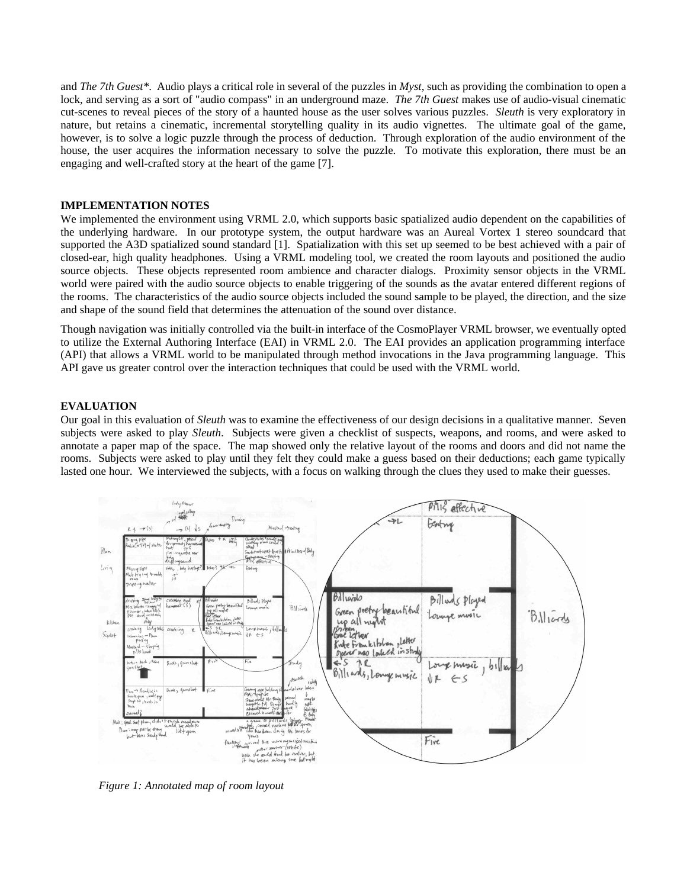and *The 7th Guest\**. Audio plays a critical role in several of the puzzles in *Myst*, such as providing the combination to open a lock, and serving as a sort of "audio compass" in an underground maze. *The 7th Guest* makes use of audio-visual cinematic cut-scenes to reveal pieces of the story of a haunted house as the user solves various puzzles. *Sleuth* is very exploratory in nature, but retains a cinematic, incremental storytelling quality in its audio vignettes. The ultimate goal of the game, however, is to solve a logic puzzle through the process of deduction. Through exploration of the audio environment of the house, the user acquires the information necessary to solve the puzzle. To motivate this exploration, there must be an engaging and well-crafted story at the heart of the game [7].

### **IMPLEMENTATION NOTES**

We implemented the environment using VRML 2.0, which supports basic spatialized audio dependent on the capabilities of the underlying hardware. In our prototype system, the output hardware was an Aureal Vortex 1 stereo soundcard that supported the A3D spatialized sound standard [1]. Spatialization with this set up seemed to be best achieved with a pair of closed-ear, high quality headphones. Using a VRML modeling tool, we created the room layouts and positioned the audio source objects. These objects represented room ambience and character dialogs. Proximity sensor objects in the VRML world were paired with the audio source objects to enable triggering of the sounds as the avatar entered different regions of the rooms. The characteristics of the audio source objects included the sound sample to be played, the direction, and the size and shape of the sound field that determines the attenuation of the sound over distance.

Though navigation was initially controlled via the built-in interface of the CosmoPlayer VRML browser, we eventually opted to utilize the External Authoring Interface (EAI) in VRML 2.0. The EAI provides an application programming interface (API) that allows a VRML world to be manipulated through method invocations in the Java programming language. This API gave us greater control over the interaction techniques that could be used with the VRML world.

# **EVALUATION**

Our goal in this evaluation of *Sleuth* was to examine the effectiveness of our design decisions in a qualitative manner. Seven subjects were asked to play *Sleuth*. Subjects were given a checklist of suspects, weapons, and rooms, and were asked to annotate a paper map of the space. The map showed only the relative layout of the rooms and doors and did not name the rooms. Subjects were asked to play until they felt they could make a guess based on their deductions; each game typically lasted one hour. We interviewed the subjects, with a focus on walking through the clues they used to make their guesses.



*Figure 1: Annotated map of room layout*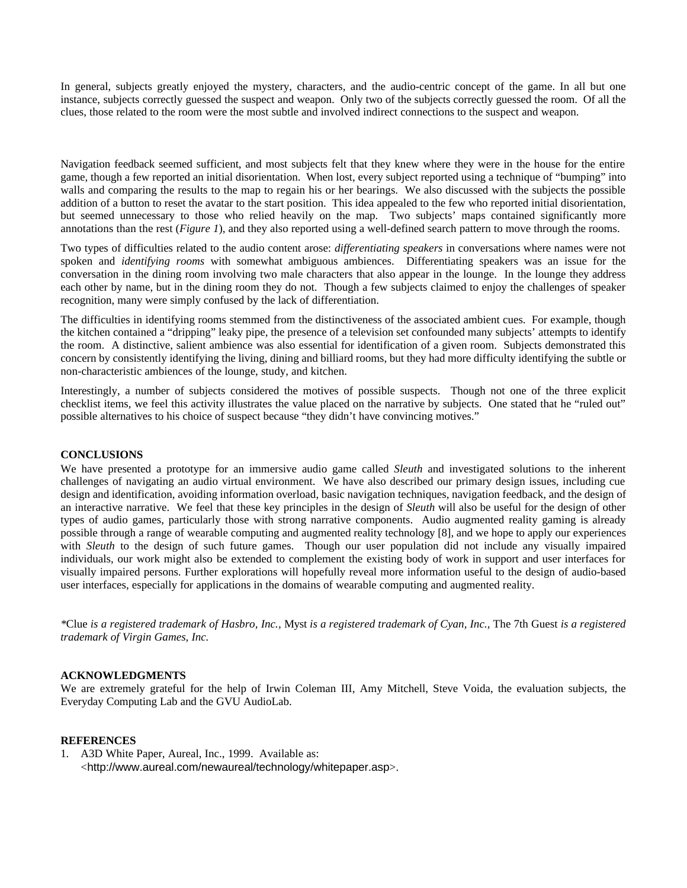In general, subjects greatly enjoyed the mystery, characters, and the audio-centric concept of the game. In all but one instance, subjects correctly guessed the suspect and weapon. Only two of the subjects correctly guessed the room. Of all the clues, those related to the room were the most subtle and involved indirect connections to the suspect and weapon.

Navigation feedback seemed sufficient, and most subjects felt that they knew where they were in the house for the entire game, though a few reported an initial disorientation. When lost, every subject reported using a technique of "bumping" into walls and comparing the results to the map to regain his or her bearings. We also discussed with the subjects the possible addition of a button to reset the avatar to the start position. This idea appealed to the few who reported initial disorientation, but seemed unnecessary to those who relied heavily on the map. Two subjects' maps contained significantly more annotations than the rest (*Figure 1*), and they also reported using a well-defined search pattern to move through the rooms.

Two types of difficulties related to the audio content arose: *differentiating speakers* in conversations where names were not spoken and *identifying rooms* with somewhat ambiguous ambiences. Differentiating speakers was an issue for the conversation in the dining room involving two male characters that also appear in the lounge. In the lounge they address each other by name, but in the dining room they do not. Though a few subjects claimed to enjoy the challenges of speaker recognition, many were simply confused by the lack of differentiation.

The difficulties in identifying rooms stemmed from the distinctiveness of the associated ambient cues. For example, though the kitchen contained a "dripping" leaky pipe, the presence of a television set confounded many subjects' attempts to identify the room. A distinctive, salient ambience was also essential for identification of a given room. Subjects demonstrated this concern by consistently identifying the living, dining and billiard rooms, but they had more difficulty identifying the subtle or non-characteristic ambiences of the lounge, study, and kitchen.

Interestingly, a number of subjects considered the motives of possible suspects. Though not one of the three explicit checklist items, we feel this activity illustrates the value placed on the narrative by subjects. One stated that he "ruled out" possible alternatives to his choice of suspect because "they didn't have convincing motives."

# **CONCLUSIONS**

We have presented a prototype for an immersive audio game called *Sleuth* and investigated solutions to the inherent challenges of navigating an audio virtual environment. We have also described our primary design issues, including cue design and identification, avoiding information overload, basic navigation techniques, navigation feedback, and the design of an interactive narrative. We feel that these key principles in the design of *Sleuth* will also be useful for the design of other types of audio games, particularly those with strong narrative components. Audio augmented reality gaming is already possible through a range of wearable computing and augmented reality technology [8], and we hope to apply our experiences with *Sleuth* to the design of such future games. Though our user population did not include any visually impaired individuals, our work might also be extended to complement the existing body of work in support and user interfaces for visually impaired persons. Further explorations will hopefully reveal more information useful to the design of audio-based user interfaces, especially for applications in the domains of wearable computing and augmented reality.

*\**Clue *is a registered trademark of Hasbro, Inc.,* Myst *is a registered trademark of Cyan, Inc.,* The 7th Guest *is a registered trademark of Virgin Games, Inc.*

# **ACKNOWLEDGMENTS**

We are extremely grateful for the help of Irwin Coleman III, Amy Mitchell, Steve Voida, the evaluation subjects, the Everyday Computing Lab and the GVU AudioLab.

### **REFERENCES**

1. A3D White Paper, Aureal, Inc., 1999. Available as: <http://www.aureal.com/newaureal/technology/whitepaper.asp>.